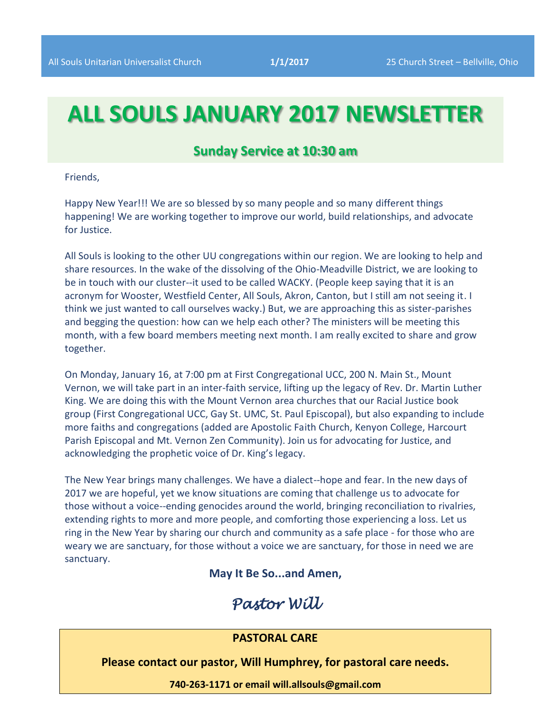# **ALL SOULS JANUARY 2017 NEWSLETTER**

#### **Sunday Service at 10:30 am**

Friends,

Happy New Year!!! We are so blessed by so many people and so many different things happening! We are working together to improve our world, build relationships, and advocate for Justice.

All Souls is looking to the other UU congregations within our region. We are looking to help and share resources. In the wake of the dissolving of the Ohio-Meadville District, we are looking to be in touch with our cluster--it used to be called WACKY. (People keep saying that it is an acronym for Wooster, Westfield Center, All Souls, Akron, Canton, but I still am not seeing it. I think we just wanted to call ourselves wacky.) But, we are approaching this as sister-parishes and begging the question: how can we help each other? The ministers will be meeting this month, with a few board members meeting next month. I am really excited to share and grow together.

On Monday, January 16, at 7:00 pm at First Congregational UCC, 200 N. Main St., Mount Vernon, we will take part in an inter-faith service, lifting up the legacy of Rev. Dr. Martin Luther King. We are doing this with the Mount Vernon area churches that our Racial Justice book group (First Congregational UCC, Gay St. UMC, St. Paul Episcopal), but also expanding to include more faiths and congregations (added are Apostolic Faith Church, Kenyon College, Harcourt Parish Episcopal and Mt. Vernon Zen Community). Join us for advocating for Justice, and acknowledging the prophetic voice of Dr. King's legacy.

The New Year brings many challenges. We have a dialect--hope and fear. In the new days of 2017 we are hopeful, yet we know situations are coming that challenge us to advocate for those without a voice--ending genocides around the world, bringing reconciliation to rivalries, extending rights to more and more people, and comforting those experiencing a loss. Let us ring in the New Year by sharing our church and community as a safe place - for those who are weary we are sanctuary, for those without a voice we are sanctuary, for those in need we are sanctuary.

**May It Be So...and Amen,**

## *Pastor Will*

#### **PASTORAL CARE**

**Please contact our pastor, Will Humphrey, for pastoral care needs.**

**740-263-1171 or email will.allsouls@gmail.com**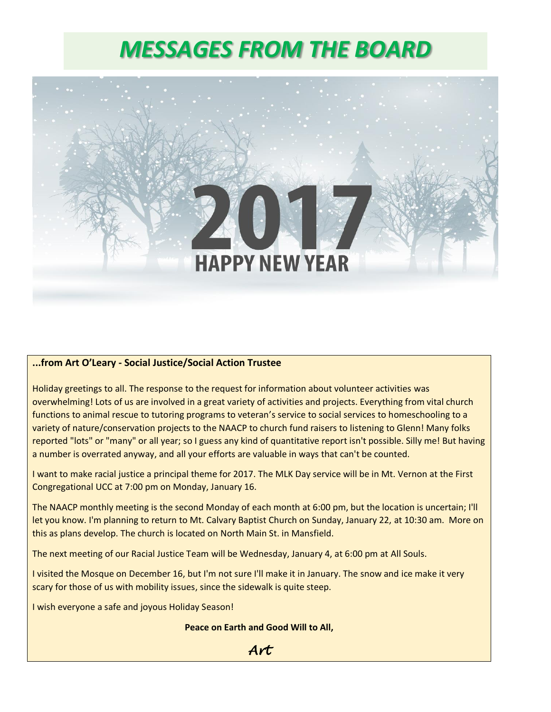# *MESSAGES FROM THE BOARD*



#### **...from Art O'Leary - Social Justice/Social Action Trustee**

Holiday greetings to all. The response to the request for information about volunteer activities was overwhelming! Lots of us are involved in a great variety of activities and projects. Everything from vital church functions to animal rescue to tutoring programs to veteran's service to social services to homeschooling to a variety of nature/conservation projects to the NAACP to church fund raisers to listening to Glenn! Many folks reported "lots" or "many" or all year; so I guess any kind of quantitative report isn't possible. Silly me! But having a number is overrated anyway, and all your efforts are valuable in ways that can't be counted.

I want to make racial justice a principal theme for 2017. The MLK Day service will be in Mt. Vernon at the First Congregational UCC at 7:00 pm on Monday, January 16.

The NAACP monthly meeting is the second Monday of each month at 6:00 pm, but the location is uncertain; I'll let you know. I'm planning to return to Mt. Calvary Baptist Church on Sunday, January 22, at 10:30 am. More on this as plans develop. The church is located on North Main St. in Mansfield.

The next meeting of our Racial Justice Team will be Wednesday, January 4, at 6:00 pm at All Souls.

I visited the Mosque on December 16, but I'm not sure I'll make it in January. The snow and ice make it very scary for those of us with mobility issues, since the sidewalk is quite steep.

I wish everyone a safe and joyous Holiday Season!

#### **Peace on Earth and Good Will to All,**

 *Art*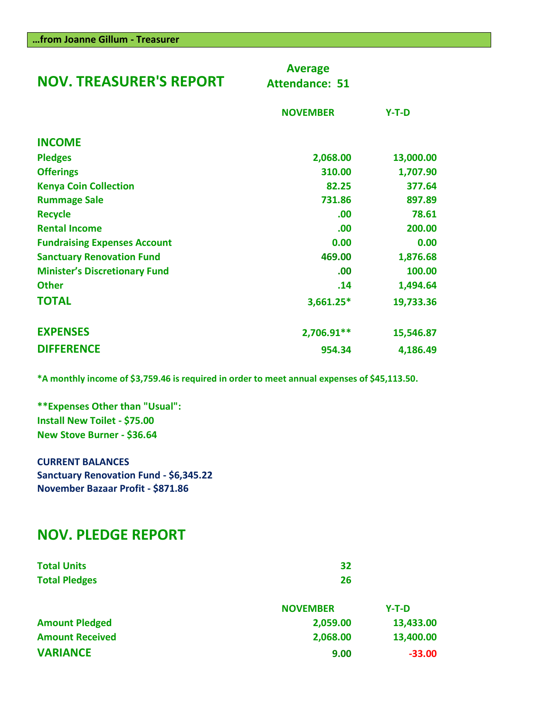| <b>NOV. TREASURER'S REPORT</b>       | <b>Average</b><br><b>Attendance: 51</b> |           |
|--------------------------------------|-----------------------------------------|-----------|
|                                      | <b>NOVEMBER</b>                         | $Y-T-D$   |
| <b>INCOME</b>                        |                                         |           |
| <b>Pledges</b>                       | 2,068.00                                | 13,000.00 |
| <b>Offerings</b>                     | 310.00                                  | 1,707.90  |
| <b>Kenya Coin Collection</b>         | 82.25                                   | 377.64    |
| <b>Rummage Sale</b>                  | 731.86                                  | 897.89    |
| <b>Recycle</b>                       | .00                                     | 78.61     |
| <b>Rental Income</b>                 | .00                                     | 200.00    |
| <b>Fundraising Expenses Account</b>  | 0.00                                    | 0.00      |
| <b>Sanctuary Renovation Fund</b>     | 469.00                                  | 1,876.68  |
| <b>Minister's Discretionary Fund</b> | .00                                     | 100.00    |
| <b>Other</b>                         | .14                                     | 1,494.64  |
| <b>TOTAL</b>                         | $3,661.25*$                             | 19,733.36 |
| <b>EXPENSES</b>                      | 2,706.91**                              | 15,546.87 |
| <b>DIFFERENCE</b>                    | 954.34                                  | 4,186.49  |

**\*A monthly income of \$3,759.46 is required in order to meet annual expenses of \$45,113.50.**

**\*\*Expenses Other than "Usual": Install New Toilet - \$75.00 New Stove Burner - \$36.64**

**CURRENT BALANCES Sanctuary Renovation Fund - \$6,345.22 November Bazaar Profit - \$871.86**

## **NOV. PLEDGE REPORT**

| <b>Total Units</b>     | 32              |           |
|------------------------|-----------------|-----------|
| <b>Total Pledges</b>   | 26              |           |
|                        | <b>NOVEMBER</b> | $Y-T-D$   |
| <b>Amount Pledged</b>  | 2,059.00        | 13,433.00 |
| <b>Amount Received</b> | 2,068.00        | 13,400.00 |
| <b>VARIANCE</b>        | 9.00            | $-33.00$  |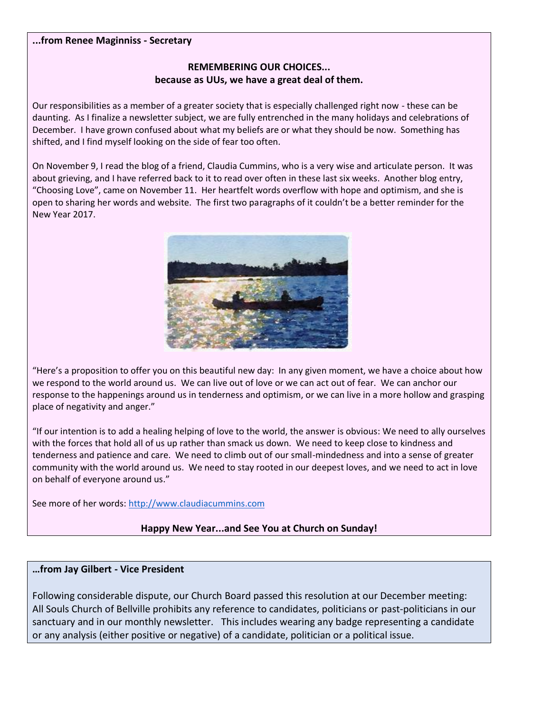#### **...from Renee Maginniss - Secretary**

#### **REMEMBERING OUR CHOICES... because as UUs, we have a great deal of them.**

Our responsibilities as a member of a greater society that is especially challenged right now - these can be daunting. As I finalize a newsletter subject, we are fully entrenched in the many holidays and celebrations of December. I have grown confused about what my beliefs are or what they should be now. Something has shifted, and I find myself looking on the side of fear too often.

On November 9, I read the blog of a friend, Claudia Cummins, who is a very wise and articulate person. It was about grieving, and I have referred back to it to read over often in these last six weeks. Another blog entry, "Choosing Love", came on November 11. Her heartfelt words overflow with hope and optimism, and she is open to sharing her words and website. The first two paragraphs of it couldn't be a better reminder for the New Year 2017.



"Here's a proposition to offer you on this beautiful new day: In any given moment, we have a choice about how we respond to the world around us. We can live out of love or we can act out of fear. We can anchor our response to the happenings around us in tenderness and optimism, or we can live in a more hollow and grasping place of negativity and anger."

"If our intention is to add a healing helping of love to the world, the answer is obvious: We need to ally ourselves with the forces that hold all of us up rather than smack us down. We need to keep close to kindness and tenderness and patience and care. We need to climb out of our small-mindedness and into a sense of greater community with the world around us. We need to stay rooted in our deepest loves, and we need to act in love on behalf of everyone around us."

See more of her words: [http://www.claudiacummins.com](http://www.claudiacummins.com/)

#### **Happy New Year...and See You at Church on Sunday!**

#### **…from Jay Gilbert - Vice President**

Following considerable dispute, our Church Board passed this resolution at our December meeting: All Souls Church of Bellville prohibits any reference to candidates, politicians or past-politicians in our sanctuary and in our monthly newsletter. This includes wearing any badge representing a candidate or any analysis (either positive or negative) of a candidate, politician or a political issue.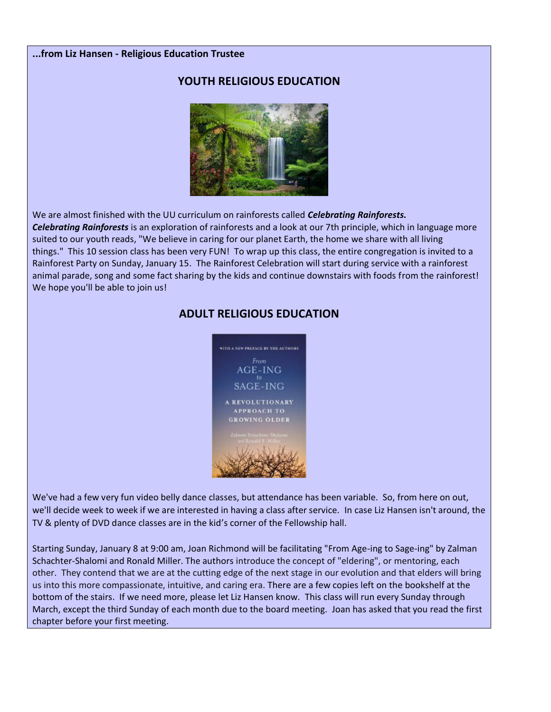#### **...from Liz Hansen - Religious Education Trustee**

#### **YOUTH RELIGIOUS EDUCATION**



We are almost finished with the UU curriculum on rainforests called *Celebrating Rainforests.*

*Celebrating Rainforests* is an exploration of rainforests and a look at our 7th principle, which in language more suited to our youth reads, "We believe in caring for our planet Earth, the home we share with all living things." This 10 session class has been very FUN! To wrap up this class, the entire congregation is invited to a Rainforest Party on Sunday, January 15. The Rainforest Celebration will start during service with a rainforest animal parade, song and some fact sharing by the kids and continue downstairs with foods from the rainforest! We hope you'll be able to join us!

#### **ADULT RELIGIOUS EDUCATION**



We've had a few very fun video belly dance classes, but attendance has been variable. So, from here on out, we'll decide week to week if we are interested in having a class after service. In case Liz Hansen isn't around, the TV & plenty of DVD dance classes are in the kid's corner of the Fellowship hall.

Starting Sunday, January 8 at 9:00 am, Joan Richmond will be facilitating "From Age-ing to Sage-ing" by Zalman Schachter-Shalomi and Ronald Miller. The authors introduce the concept of "eldering", or mentoring, each other. They contend that we are at the cutting edge of the next stage in our evolution and that elders will bring us into this more compassionate, intuitive, and caring era. There are a few copies left on the bookshelf at the bottom of the stairs. If we need more, please let Liz Hansen know. This class will run every Sunday through March, except the third Sunday of each month due to the board meeting. Joan has asked that you read the first chapter before your first meeting.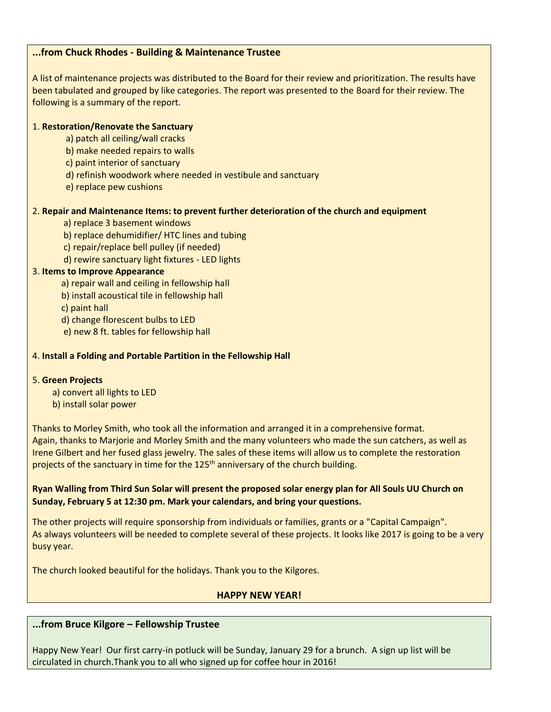#### **...from Chuck Rhodes - Building & Maintenance Trustee**

A list of maintenance projects was distributed to the Board for their review and prioritization. The results have been tabulated and grouped by like categories. The report was presented to the Board for their review. The following is a summary of the report.

#### 1. **Restoration/Renovate the Sanctuary**

- a) patch all ceiling/wall cracks
- b) make needed repairs to walls
- c) paint interior of sanctuary
- d) refinish woodwork where needed in vestibule and sanctuary
- e) replace pew cushions

#### 2. **Repair and Maintenance Items: to prevent further deterioration of the church and equipment**

- a) replace 3 basement windows
- b) replace dehumidifier/ HTC lines and tubing
- c) repair/replace bell pulley (if needed)
- d) rewire sanctuary light fixtures LED lights

#### 3. **Items to Improve Appearance**

- a) repair wall and ceiling in fellowship hall
- b) install acoustical tile in fellowship hall
- c) paint hall
- d) change florescent bulbs to LED
- e) new 8 ft. tables for fellowship hall

#### 4. **Install a Folding and Portable Partition in the Fellowship Hall**

#### 5. **Green Projects**

- a) convert all lights to LED
- b) install solar power

Thanks to Morley Smith, who took all the information and arranged it in a comprehensive format. Again, thanks to Marjorie and Morley Smith and the many volunteers who made the sun catchers, as well as Irene Gilbert and her fused glass jewelry. The sales of these items will allow us to complete the restoration projects of the sanctuary in time for the 125<sup>th</sup> anniversary of the church building.

#### **Ryan Walling from Third Sun Solar will present the proposed solar energy plan for All Souls UU Church on Sunday, February 5 at 12:30 pm. Mark your calendars, and bring your questions.**

The other projects will require sponsorship from individuals or families, grants or a "Capital Campaign". As always volunteers will be needed to complete several of these projects. It looks like 2017 is going to be a very busy year.

The church looked beautiful for the holidays. Thank you to the Kilgores.

#### **HAPPY NEW YEAR!**

#### **...from Bruce Kilgore – Fellowship Trustee**

Happy New Year! Our first carry-in potluck will be Sunday, January 29 for a brunch. A sign up list will be circulated in church.Thank you to all who signed up for coffee hour in 2016!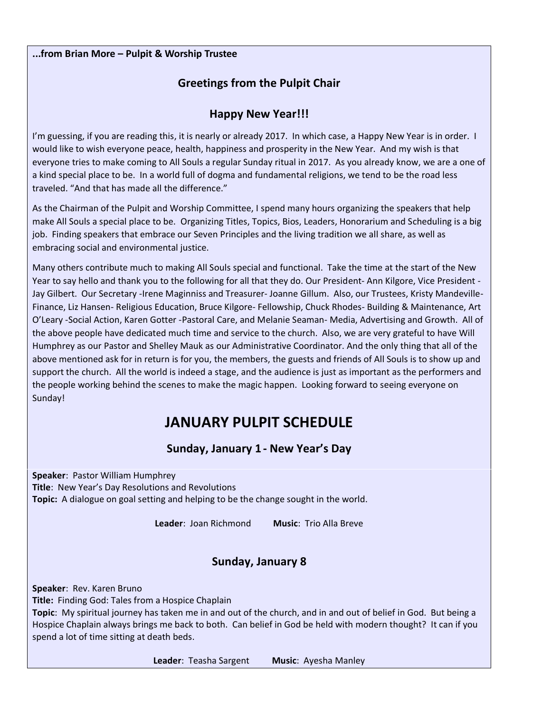#### **...from Brian More – Pulpit & Worship Trustee**

#### **Greetings from the Pulpit Chair**

#### **Happy New Year!!!**

I'm guessing, if you are reading this, it is nearly or already 2017. In which case, a Happy New Year is in order. I would like to wish everyone peace, health, happiness and prosperity in the New Year. And my wish is that everyone tries to make coming to All Souls a regular Sunday ritual in 2017. As you already know, we are a one of a kind special place to be. In a world full of dogma and fundamental religions, we tend to be the road less traveled. "And that has made all the difference."

As the Chairman of the Pulpit and Worship Committee, I spend many hours organizing the speakers that help make All Souls a special place to be. Organizing Titles, Topics, Bios, Leaders, Honorarium and Scheduling is a big job. Finding speakers that embrace our Seven Principles and the living tradition we all share, as well as embracing social and environmental justice.

Many others contribute much to making All Souls special and functional. Take the time at the start of the New Year to say hello and thank you to the following for all that they do. Our President- Ann Kilgore, Vice President - Jay Gilbert. Our Secretary -Irene Maginniss and Treasurer- Joanne Gillum. Also, our Trustees, Kristy Mandeville-Finance, Liz Hansen- Religious Education, Bruce Kilgore- Fellowship, Chuck Rhodes- Building & Maintenance, Art O'Leary -Social Action, Karen Gotter -Pastoral Care, and Melanie Seaman- Media, Advertising and Growth. All of the above people have dedicated much time and service to the church. Also, we are very grateful to have Will Humphrey as our Pastor and Shelley Mauk as our Administrative Coordinator. And the only thing that all of the above mentioned ask for in return is for you, the members, the guests and friends of All Souls is to show up and support the church. All the world is indeed a stage, and the audience is just as important as the performers and the people working behind the scenes to make the magic happen. Looking forward to seeing everyone on Sunday!

## **JANUARY PULPIT SCHEDULE**

#### **Sunday, January 1 - New Year's Day**

**Speaker**: Pastor William Humphrey **Title**: New Year's Day Resolutions and Revolutions **Topic:** A dialogue on goal setting and helping to be the change sought in the world.

**Leader**: Joan Richmond **Music**: Trio Alla Breve

### **Sunday, January 8**

**Speaker**: Rev. Karen Bruno **Title:** Finding God: Tales from a Hospice Chaplain **Topic**: My spiritual journey has taken me in and out of the church, and in and out of belief in God. But being a Hospice Chaplain always brings me back to both. Can belief in God be held with modern thought? It can if you spend a lot of time sitting at death beds.

**Leader**: Teasha Sargent **Music**: Ayesha Manley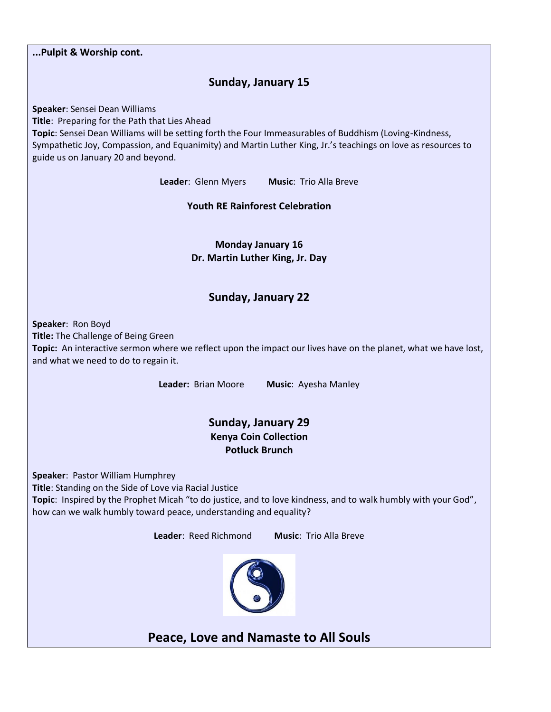**...Pulpit & Worship cont. Sunday, January 15 Speaker**: Sensei Dean Williams **Title**: Preparing for the Path that Lies Ahead **Topic**: Sensei Dean Williams will be setting forth the Four Immeasurables of Buddhism (Loving-Kindness, Sympathetic Joy, Compassion, and Equanimity) and Martin Luther King, Jr.'s teachings on love as resources to guide us on January 20 and beyond. **Leader**: Glenn Myers **Music**: Trio Alla Breve **Youth RE Rainforest Celebration Monday January 16 Dr. Martin Luther King, Jr. Day Sunday, January 22 Speaker**: Ron Boyd **Title:** The Challenge of Being Green **Topic:** An interactive sermon where we reflect upon the impact our lives have on the planet, what we have lost, and what we need to do to regain it. **Leader:** Brian Moore **Music**: Ayesha Manley **Sunday, January 29 Kenya Coin Collection Potluck Brunch Speaker**: Pastor William Humphrey **Title**: Standing on the Side of Love via Racial Justice **Topic**: Inspired by the Prophet Micah "to do justice, and to love kindness, and to walk humbly with your God", how can we walk humbly toward peace, understanding and equality? **Leader**: Reed Richmond **Music**: Trio Alla Breve **Peace, Love and Namaste to All Souls**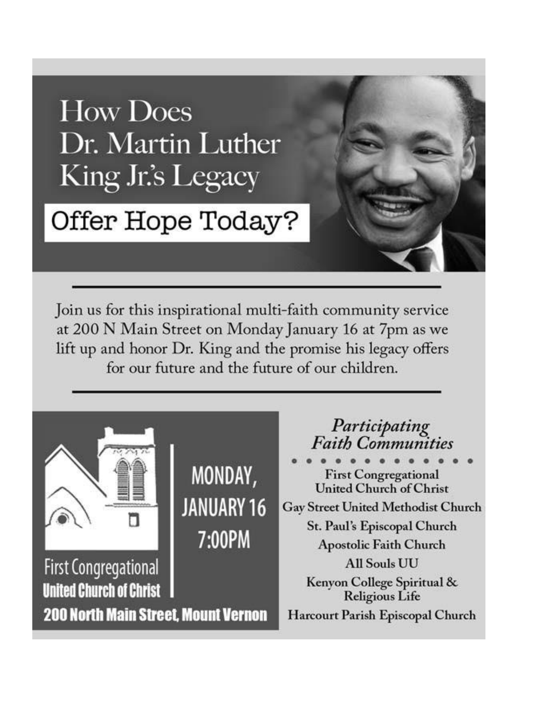# **How Does** Dr. Martin Luther King Jr.'s Legacy

# Offer Hope Today?

Join us for this inspirational multi-faith community service at 200 N Main Street on Monday January 16 at 7pm as we lift up and honor Dr. King and the promise his legacy offers for our future and the future of our children.

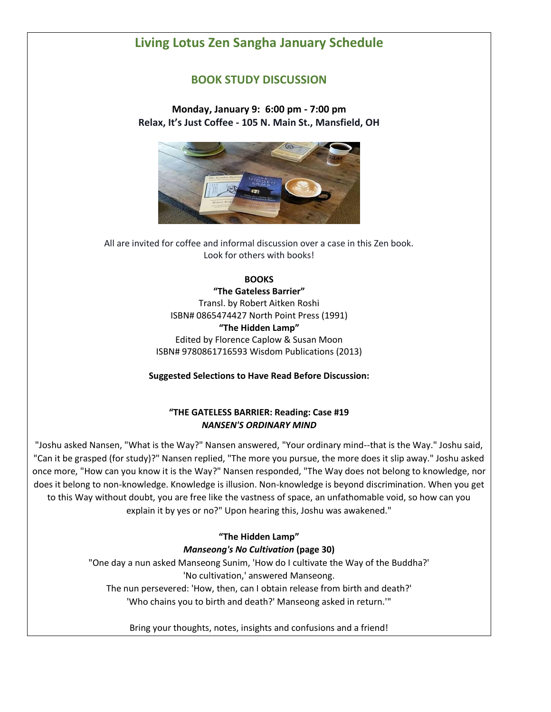### **Living Lotus Zen Sangha January Schedule**

#### **BOOK STUDY DISCUSSION**

**Monday, January 9: 6:00 pm - 7:00 pm Relax, It's Just Coffee - 105 N. Main St., Mansfield, OH**



All are invited for coffee and informal discussion over a case in this Zen book. Look for others with books!

#### **BOOKS**

**"The Gateless Barrier"** Transl. by Robert Aitken Roshi ISBN# 0865474427 North Point Press (1991) **"The Hidden Lamp"** Edited by Florence Caplow & Susan Moon ISBN# 9780861716593 Wisdom Publications (2013)

**Suggested Selections to Have Read Before Discussion:**

#### **"THE GATELESS BARRIER: Reading: Case #19**  *NANSEN'S ORDINARY MIND*

"Joshu asked Nansen, "What is the Way?" Nansen answered, "Your ordinary mind--that is the Way." Joshu said, "Can it be grasped (for study)?" Nansen replied, "The more you pursue, the more does it slip away." Joshu asked once more, "How can you know it is the Way?" Nansen responded, "The Way does not belong to knowledge, nor does it belong to non-knowledge. Knowledge is illusion. Non-knowledge is beyond discrimination. When you get to this Way without doubt, you are free like the vastness of space, an unfathomable void, so how can you explain it by yes or no?" Upon hearing this, Joshu was awakened."

#### **"The Hidden Lamp"**  *Manseong's No Cultivation* **(page 30)**

"One day a nun asked Manseong Sunim, 'How do I cultivate the Way of the Buddha?' 'No cultivation,' answered Manseong. The nun persevered: 'How, then, can I obtain release from birth and death?' 'Who chains you to birth and death?' Manseong asked in return.'"

Bring your thoughts, notes, insights and confusions and a friend!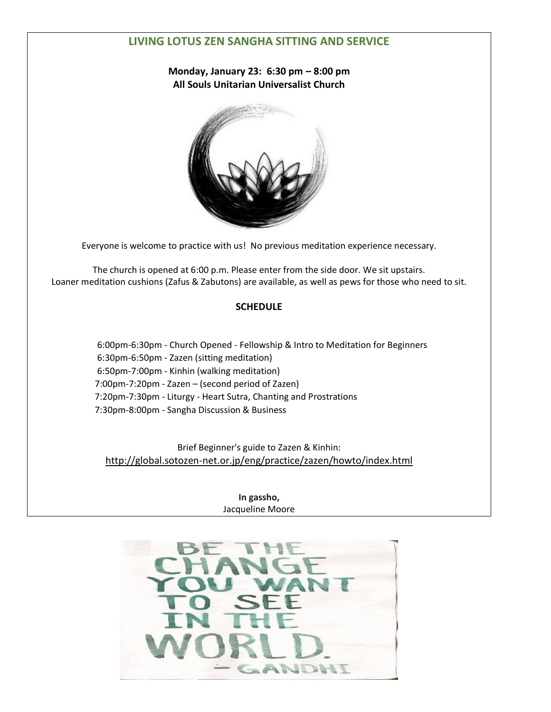#### **LIVING LOTUS ZEN SANGHA SITTING AND SERVICE**

**Monday, January 23: 6:30 pm – 8:00 pm All Souls Unitarian Universalist Church**



Everyone is welcome to practice with us! No previous meditation experience necessary.

The church is opened at 6:00 p.m. Please enter from the side door. We sit upstairs. Loaner meditation cushions (Zafus & Zabutons) are available, as well as pews for those who need to sit.

#### **SCHEDULE**

 6:00pm-6:30pm - Church Opened - Fellowship & Intro to Meditation for Beginners 6:30pm-6:50pm - Zazen (sitting meditation) 6:50pm-7:00pm - Kinhin (walking meditation) 7:00pm-7:20pm - Zazen – (second period of Zazen) 7:20pm-7:30pm - Liturgy - Heart Sutra, Chanting and Prostrations 7:30pm-8:00pm - Sangha Discussion & Business

Brief Beginner's guide to Zazen & Kinhin: [http://global.sotozen-net.or.jp/eng/practice/zazen/howto/index.html](http://l.facebook.com/?u=http%3A%2F%2Fglobal.sotozen-net.or.jp%2Feng%2Fpractice%2Fzazen%2Fhowto%2Findex.html&e=ATOXqawJM1--9N9v8oPw8oyhjopfFmZVyt2JFfRZL-qFiiYq8uBExuSIEUOSpg)

> **In gassho,** Jacqueline Moore